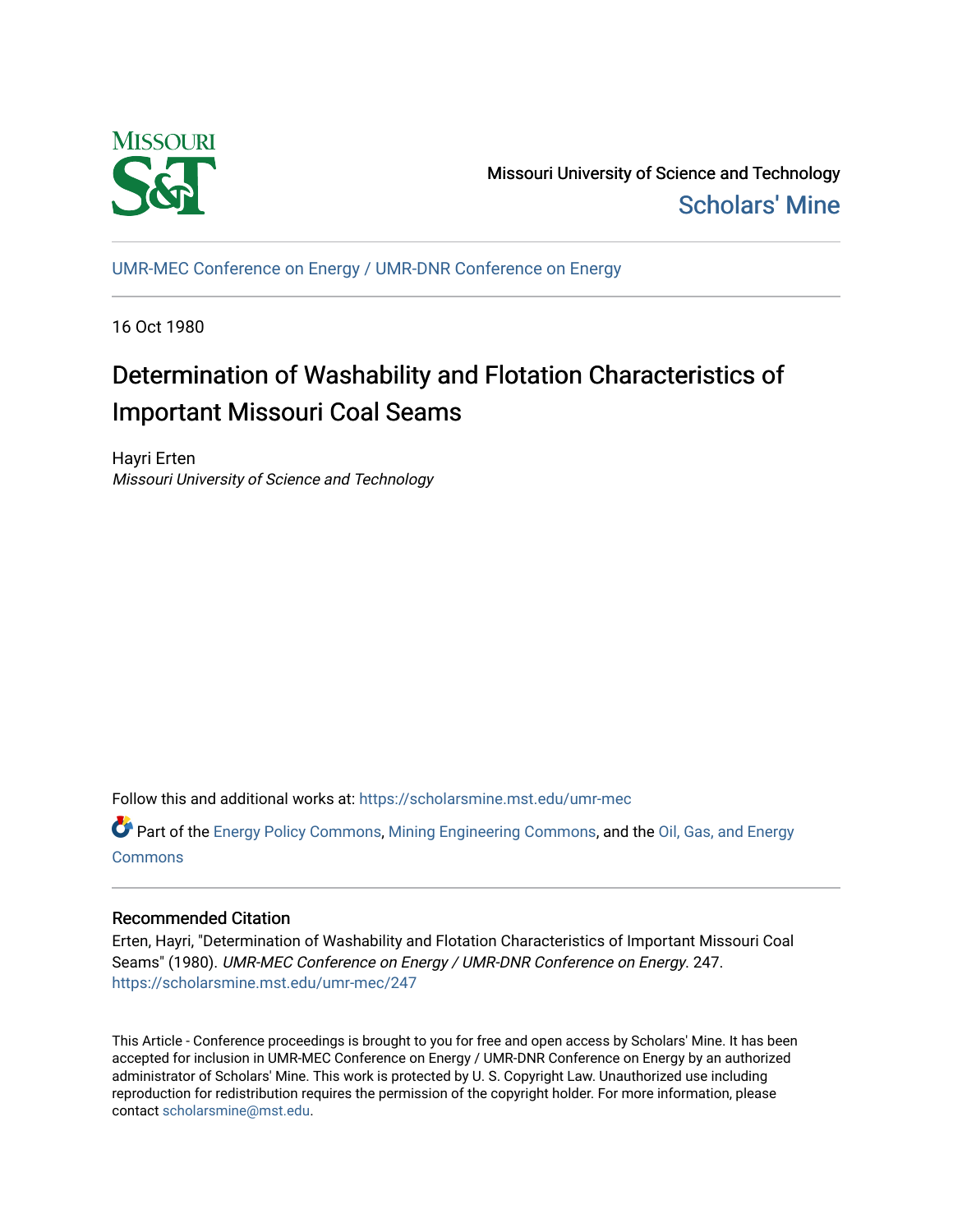

Missouri University of Science and Technology [Scholars' Mine](https://scholarsmine.mst.edu/) 

[UMR-MEC Conference on Energy / UMR-DNR Conference on Energy](https://scholarsmine.mst.edu/umr-mec)

16 Oct 1980

# Determination of Washability and Flotation Characteristics of Important Missouri Coal Seams

Hayri Erten Missouri University of Science and Technology

Follow this and additional works at: [https://scholarsmine.mst.edu/umr-mec](https://scholarsmine.mst.edu/umr-mec?utm_source=scholarsmine.mst.edu%2Fumr-mec%2F247&utm_medium=PDF&utm_campaign=PDFCoverPages) 

Part of the [Energy Policy Commons](http://network.bepress.com/hgg/discipline/1065?utm_source=scholarsmine.mst.edu%2Fumr-mec%2F247&utm_medium=PDF&utm_campaign=PDFCoverPages), [Mining Engineering Commons](http://network.bepress.com/hgg/discipline/1090?utm_source=scholarsmine.mst.edu%2Fumr-mec%2F247&utm_medium=PDF&utm_campaign=PDFCoverPages), and the [Oil, Gas, and Energy](http://network.bepress.com/hgg/discipline/171?utm_source=scholarsmine.mst.edu%2Fumr-mec%2F247&utm_medium=PDF&utm_campaign=PDFCoverPages)  **[Commons](http://network.bepress.com/hgg/discipline/171?utm_source=scholarsmine.mst.edu%2Fumr-mec%2F247&utm_medium=PDF&utm_campaign=PDFCoverPages)** 

# Recommended Citation

Erten, Hayri, "Determination of Washability and Flotation Characteristics of Important Missouri Coal Seams" (1980). UMR-MEC Conference on Energy / UMR-DNR Conference on Energy. 247. [https://scholarsmine.mst.edu/umr-mec/247](https://scholarsmine.mst.edu/umr-mec/247?utm_source=scholarsmine.mst.edu%2Fumr-mec%2F247&utm_medium=PDF&utm_campaign=PDFCoverPages) 

This Article - Conference proceedings is brought to you for free and open access by Scholars' Mine. It has been accepted for inclusion in UMR-MEC Conference on Energy / UMR-DNR Conference on Energy by an authorized administrator of Scholars' Mine. This work is protected by U. S. Copyright Law. Unauthorized use including reproduction for redistribution requires the permission of the copyright holder. For more information, please contact [scholarsmine@mst.edu](mailto:scholarsmine@mst.edu).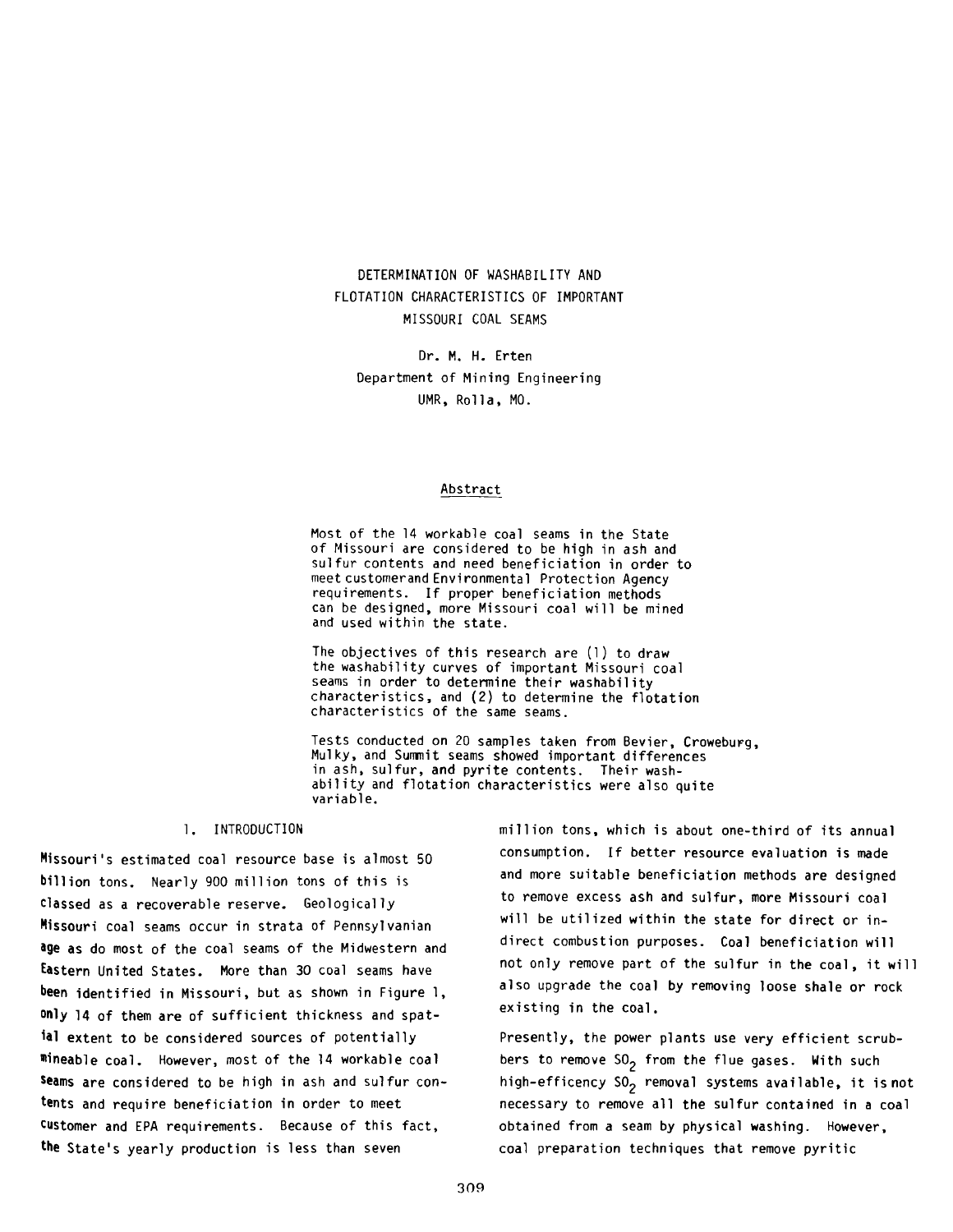# DETERMINATION OF WASHABILITY AND FLOTATION CHARACTERISTICS OF IMPORTANT MISSOURI COAL SEAMS

Dr. M. H. Erten Department of Mining Engineering UMR, Rolla, MO.

#### Abstract

Most of the 14 workable coal seams in the State of Missouri are considered to be high in ash and sulfur contents and need beneficiation in order to meet customerand Environmental Protection Agency requirements. If proper beneficiation methods can be designed, more Missouri coal will be mined and used within the state.

The objectives of this research are  $(1)$  to draw the washability curves of important Missouri coal seams in order to determine their washability characteristics, and (2) to determine the flotation characteristics of the same seams.

Tests conducted on 20 samples taken from Bevier, Croweburg, Mulky, and Summit seams showed important differences in ash, sulfur, and pyrite contents. Their washability and flotation characteristics were also quite variable.

#### 1. INTRODUCTION

Missouri's estimated coal resource base is almost 50 billion tons. Nearly 900 million tons of this is classed as a recoverable reserve. Geologically Missouri coal seams occur in strata of Pennsylvanian age as do most of the coal seams of the Midwestern and Eastern United States. More than 30 coal seams have been identified in Missouri, but as shown in Figure 1, only 14 of them are of sufficient thickness and spatial extent to be considered sources of potentially mineable coal. However, most of the 14 workable coal seams are considered to be high in ash and sulfur contents and require beneficiation in order to meet Customer and EPA requirements. Because of this fact, the State's yearly production is less than seven

million tons, which is about one-third of its annual consumption. If better resource evaluation is made and more suitable beneficiation methods are designed to remove excess ash and sulfur, more Missouri coal will be utilized within the state for direct or indirect combustion purposes. Coal beneficiation will not only remove part of the sulfur in the coal, it will also upgrade the coal by removing loose shale or rock existing in the coal.

Presently, the power plants use very efficient scrubbers to remove  $50<sub>2</sub>$  from the flue gases. With such high-efficency  $SO_2$  removal systems available, it is not necessary to remove all the sulfur contained in a coal obtained from a seam by physical washing. However, coal preparation techniques that remove pyritic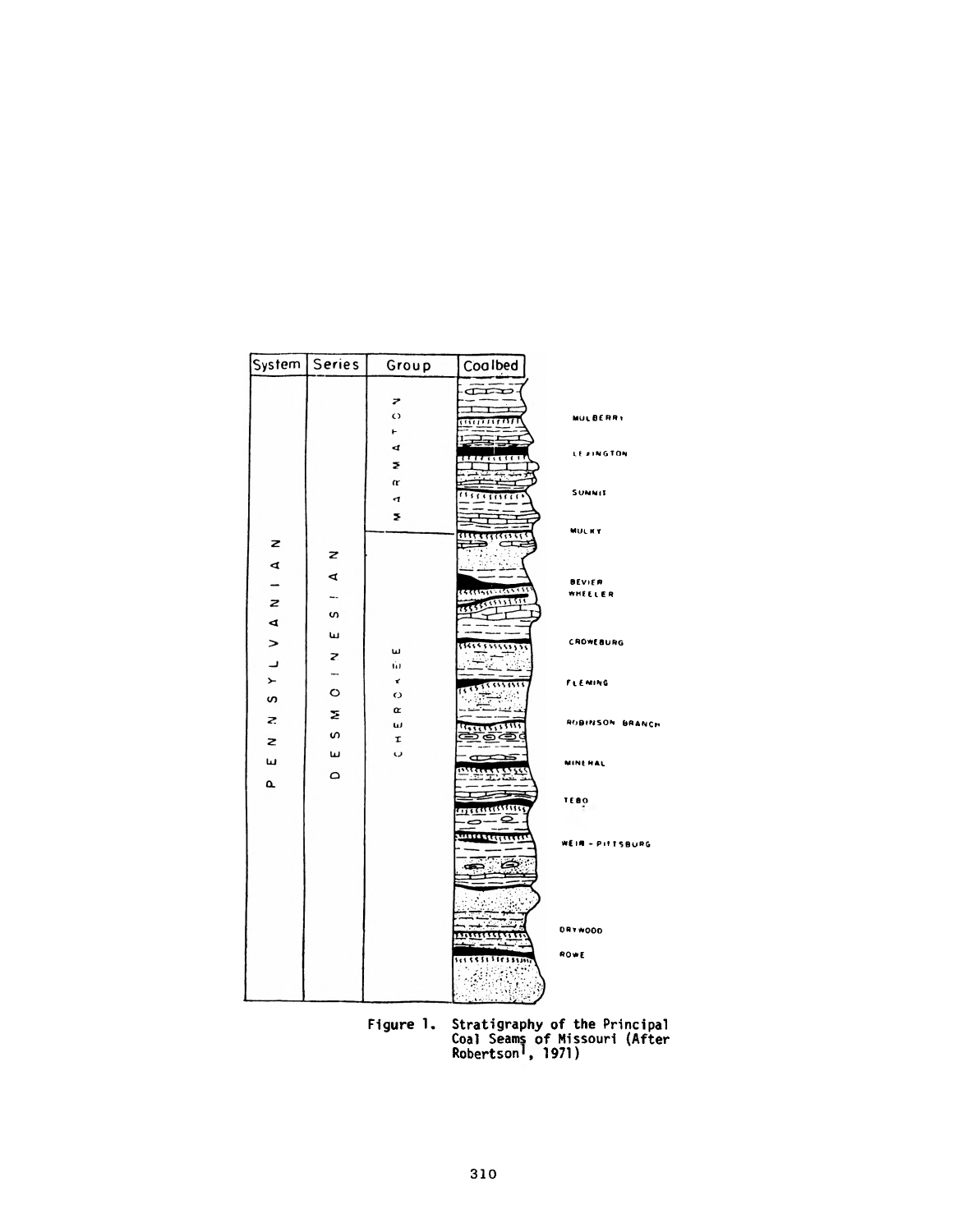| System   Series         |              | Group                                                         | Coalbed                                                             |                                                      |
|-------------------------|--------------|---------------------------------------------------------------|---------------------------------------------------------------------|------------------------------------------------------|
|                         |              | Z<br>$\circ$<br>۳<br>$\blacktriangleleft$<br>ž<br>Œ<br>4<br>Σ | ŒÐ<br>,,,,,,,,,,,,<br>E<br><del>,,,,,,,,,,</del><br>Y<br>1111111111 | <b>MULBERRY</b><br><b>LEXINGTON</b><br><b>SUMMIT</b> |
| z<br>⋖                  | z            |                                                               | $\subset$<br>∍<br>. .                                               | <b>MULKY</b>                                         |
| $\mathbf{z}$<br>₫       | ⋖<br>-−<br>w |                                                               | <u> ETTISTING (255.15)</u><br>**********                            | <b>BEVIER</b><br>WHEELER                             |
| ><br>ر_<br>$\leftarrow$ | ш<br>z<br>-  | ш<br>Ŵ<br>x                                                   | ,,,,,,,,,,,,,<br>67<br>46                                           | <b>CROWEBURG</b>                                     |
| S<br>Z.<br>z            | O<br>Σ<br>S  | $\circ$<br>œ<br>w<br>τ                                        | 55550000<br>F<br>د د<br>15555555555<br>2ි වෙ                        | <b>FLENING</b><br>ROBINSON BRANCH                    |
| ш<br>$\alpha$           | ш<br>٥       | ر،                                                            | œ<br><b>Rocheste</b><br><del>III</del>                              | <b>MINERAL</b>                                       |
|                         |              |                                                               | <del>useaaan a</del><br><del>murratenin</del>                       | TEBO<br>WEIR - PITTSBURG                             |
|                         |              |                                                               | ౚెడ్                                                                |                                                      |
|                         |              |                                                               | mmmmm<br>,,,,,,,,,,,,,,,,<br>÷,<br>磷酸<br>M.<br>A.                   | <b>DRYWOOD</b><br>ROWE                               |

Figure 1. Stratigraphy of the Principal<br>Coal Seams of Missouri (After<br>Robertson<sup>1</sup>, 1971)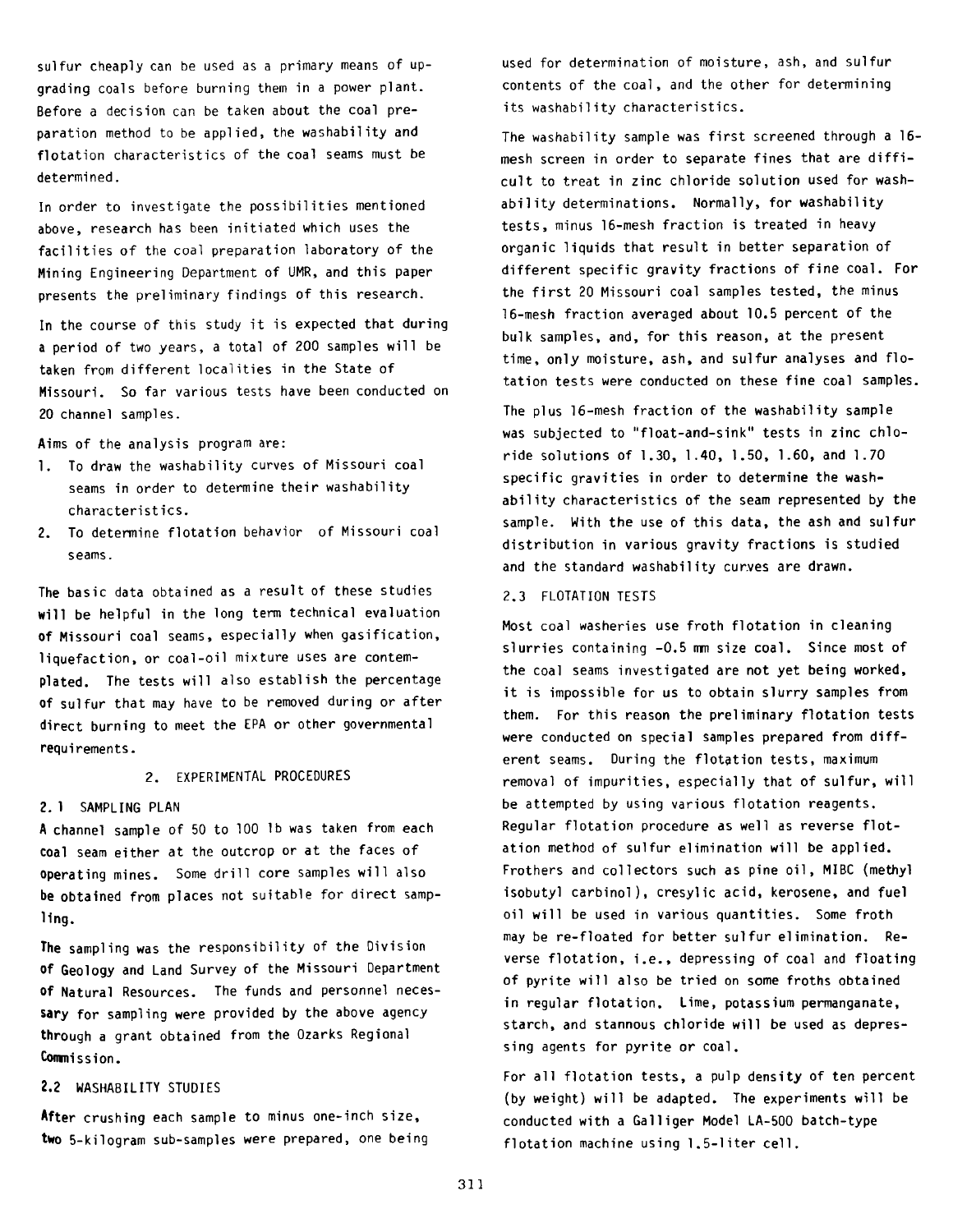sulfur cheaply can be used as a primary means of upgrading coals before burning them in a power plant. Before a decision can be taken about the coal preparation method to be applied, the washability and flotation characteristics of the coal seams must be determined.

In order to investigate the possibilities mentioned above, research has been initiated which uses the facilities of the coal preparation laboratory of the Mining Engineering Department of UMR, and this paper presents the preliminary findings of this research.

In the course of this study it is expected that during a period of two years, a total of 200 samples will be taken from different localities in the State of Missouri. So far various tests have been conducted on 20 channel samples.

Aims of the analysis program are:

- 1. To draw the washability curves of Missouri coal seams in order to determine their washability characteristics.
- 2. To determine flotation behavior of Missouri coal seams.

The basic data obtained as a result of these studies will be helpful in the long term technical evaluation of Missouri coal seams, especially when gasification, liquefaction, or coal-oil mixture uses are contemplated. The tests will also establish the percentage of sulfur that may have to be removed during or after direct burning to meet the EPA or other governmental requirements.

#### 2. EXPERIMENTAL PROCEDURES

#### 2. 1 SAMPLING PLAN

A channel sample of 50 to 100 lb was taken from each coal seam either at the outcrop or at the faces of operating mines. Some drill core samples will also be obtained from places not suitable for direct sampling.

The sampling was the responsibility of the Division of Geology and Land Survey of the Missouri Department **of** Natural Resources. The funds and personnel necessary for sampling were provided by the above agency through a grant obtained from the Ozarks Regional **Commi** s s i on.

# 2.2 WASHABILITY STUDIES

After crushing each sample to minus one-inch size, two 5-kilogram sub-samples were prepared, one being used for determination of moisture, ash, and sulfur contents of the coal, and the other for determining its washability characteristics.

The washability sample was first screened through a 16mesh screen in order to separate fines that are difficult to treat in zinc chloride solution used for washability determinations. Normally, for washability tests, minus 16-mesh fraction is treated in heavy organic liquids that result in better separation of different specific gravity fractions of fine coal. For the first 20 Missouri coal samples tested, the minus 16-mesh fraction averaged about 10.5 percent of the bulk samples, and, for this reason, at the present time, only moisture, ash, and sulfur analyses and flotation tests were conducted on these fine coal samples.

The plus 16-mesh fraction of the washability sample was subjected to "float-and-sink" tests in zinc chloride solutions of 1.30, 1.40, 1.50, 1.60, and 1.70 specific gravities in order to determine the washability characteristics of the seam represented by the sample. With the use of this data, the ash and sulfur distribution in various gravity fractions is studied and the standard washability curves are drawn.

#### 2.3 FLOTATION TESTS

Most coal washeries use froth flotation in cleaning slurries containing -0.5 mm size coal. Since most of the coal seams investigated are not yet being worked, it is impossible for us to obtain slurry samples from them. For this reason the preliminary flotation tests were conducted on special samples prepared from different seams. During the flotation tests, maximum removal of impurities, especially that of sulfur, will be attempted by using various flotation reagents. Regular flotation procedure as well as reverse flotation method of sulfur elimination will be applied. Frothers and collectors such as pine oil, MIBC (methyl isobutyl carbinol), cresylic acid, kerosene, and fuel oil will be used in various quantities. Some froth may be re-floated for better sulfur elimination. Reverse flotation, i.e., depressing of coal and floating of pyrite will also be tried on some froths obtained in regular flotation. Lime, potassium permanganate, starch, and stannous chloride will be used as depressing agents for pyrite or coal.

For all flotation tests, a pulp density of ten percent (by weight) will be adapted. The experiments will be conducted with a Galliger Model LA-500 batch-type flotation machine using 1.5-liter cell.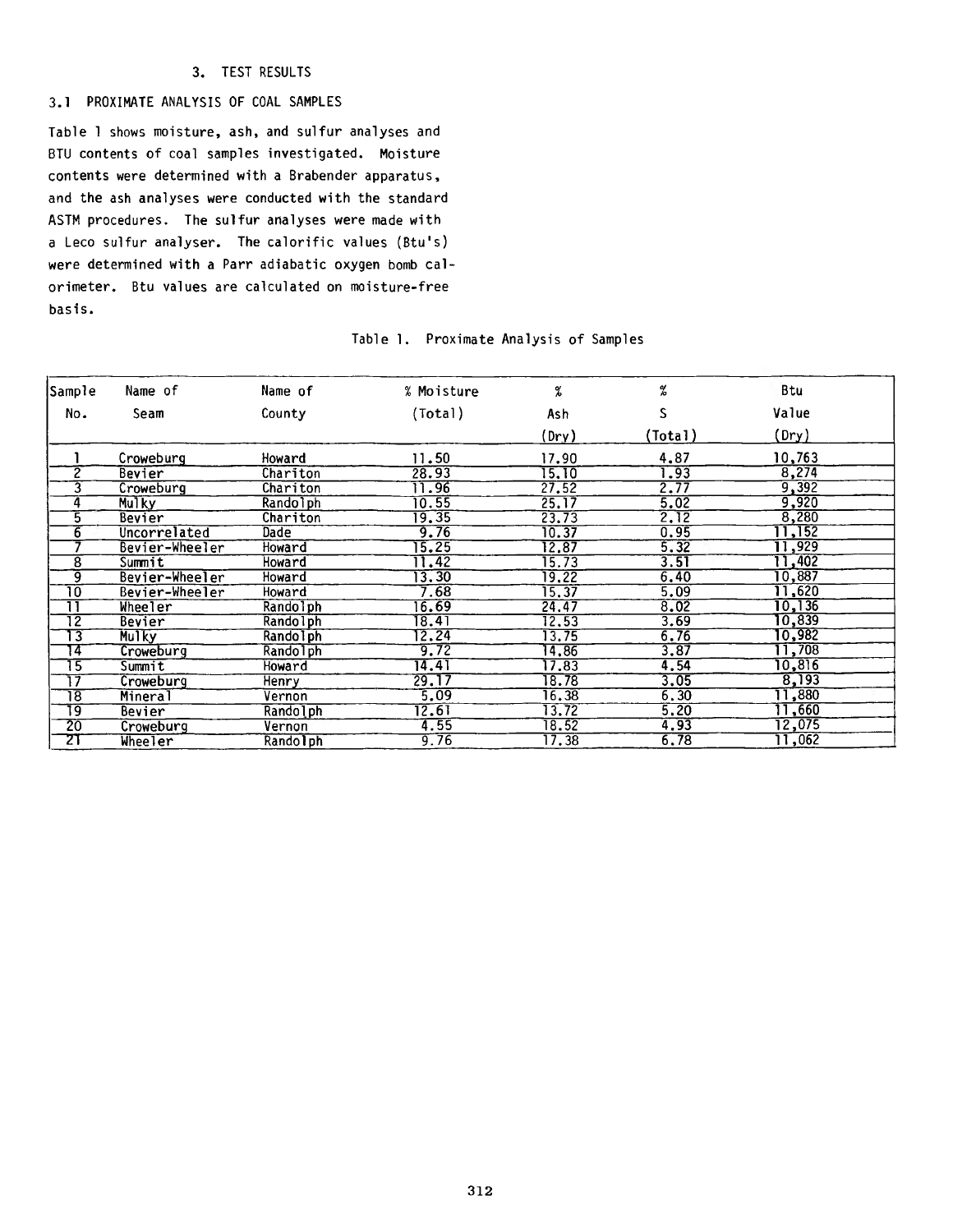# 3. TEST RESULTS

### 3.1 PROXIMATE ANALYSIS OF COAL SAMPLES

Table 1 shows moisture, ash, and sulfur analyses and BTU contents of coal samples investigated. Moisture contents were determined with a Brabender apparatus, and the ash analyses were conducted with the standard ASTM procedures. The sulfur analyses were made with a Leco sulfur analyser. The calorific values (Btu's) were determined with a Parr adiabatic oxygen bomb calorimeter. Btu values are calculated on moisture-free basis.

| Sample          | Name of        | Name of         | % Moisture         | %     | %       | <b>Btu</b> |  |
|-----------------|----------------|-----------------|--------------------|-------|---------|------------|--|
| No.             | Seam           | County          | (Total)            | Ash   | S       | Value      |  |
|                 |                |                 |                    | (Dry) | (Total) | (Dry)      |  |
|                 | Croweburg      | Howard          | 11.50              | 17.90 | 4,87    | 10,763     |  |
| 2               | Bevier         | Chariton        | 28.93              | 15.10 | 1.93    | 8,274      |  |
| 3               | Croweburg      | Chariton        | 11.96              | 27.52 | 2.77    | 9,392      |  |
| $\mathbf 4$     | Mulky          | Rando1ph        | 10.55              | 25.17 | 5.02    | 9,920      |  |
| 5               | Bevier         | Chariton        | $\overline{19.35}$ | 23.73 | 2.12    | 8,280      |  |
| 6               | Uncorrelated   | <b>Dade</b>     | 9.76               | 10.37 | 0.95    | 11,152     |  |
|                 | Bevier-Wheeler | Howard          | $\overline{15.25}$ | 12.87 | 5.32    | 11,929     |  |
| $\overline{8}$  | Summit         | Howard          | 11.42              | 15.73 | 3.51    | 11,402     |  |
| g               | Bevier-Wheeler | Howard          | $\sqrt{3.30}$      | 19.22 | 6.40    | 10,887     |  |
| 10              | Bevier-Wheeler | Howard          | 7.68               | 15.37 | 5.09    | 11,620     |  |
| π               | Wheeler        | Randolph        | 16.69              | 24.47 | 8.02    | 10, 136    |  |
| $\overline{12}$ | <b>Bevier</b>  | Randolph        | 18.41              | 12.53 | 3.69    | 10,839     |  |
| 13              | <b>Mulky</b>   | <b>Randolph</b> | 2.24               | 13.75 | 6.76    | 0,982      |  |
| 14              | Croweburg      | Rando 1 ph      | 9.72               | 14,86 | 3.87    | 11,708     |  |
| 15              | Summit         | Howard          | 14.41              | 17.83 | 4.54    | 10,816     |  |
| 17              | Croweburg      | Henry           | 29.17              | 18.78 | 3.05    | 8,193      |  |
| 18              | Mineral        | Vernon          | 5.09               | 16.38 | 6.30    | 11,880     |  |
| 19              | Bevier         | Randolph        | 12.61              | 13.72 | 5.20    | 11,660     |  |
| 20              | Croweburg      | Vernon          | 4.55               | 18.52 | 4.93    | 12,075     |  |
| 21              | Wheeler        | Randolph        | 9.76               | 17.38 | 6.78    | 11,062     |  |

#### Table 1. Proximate Analysis of Samples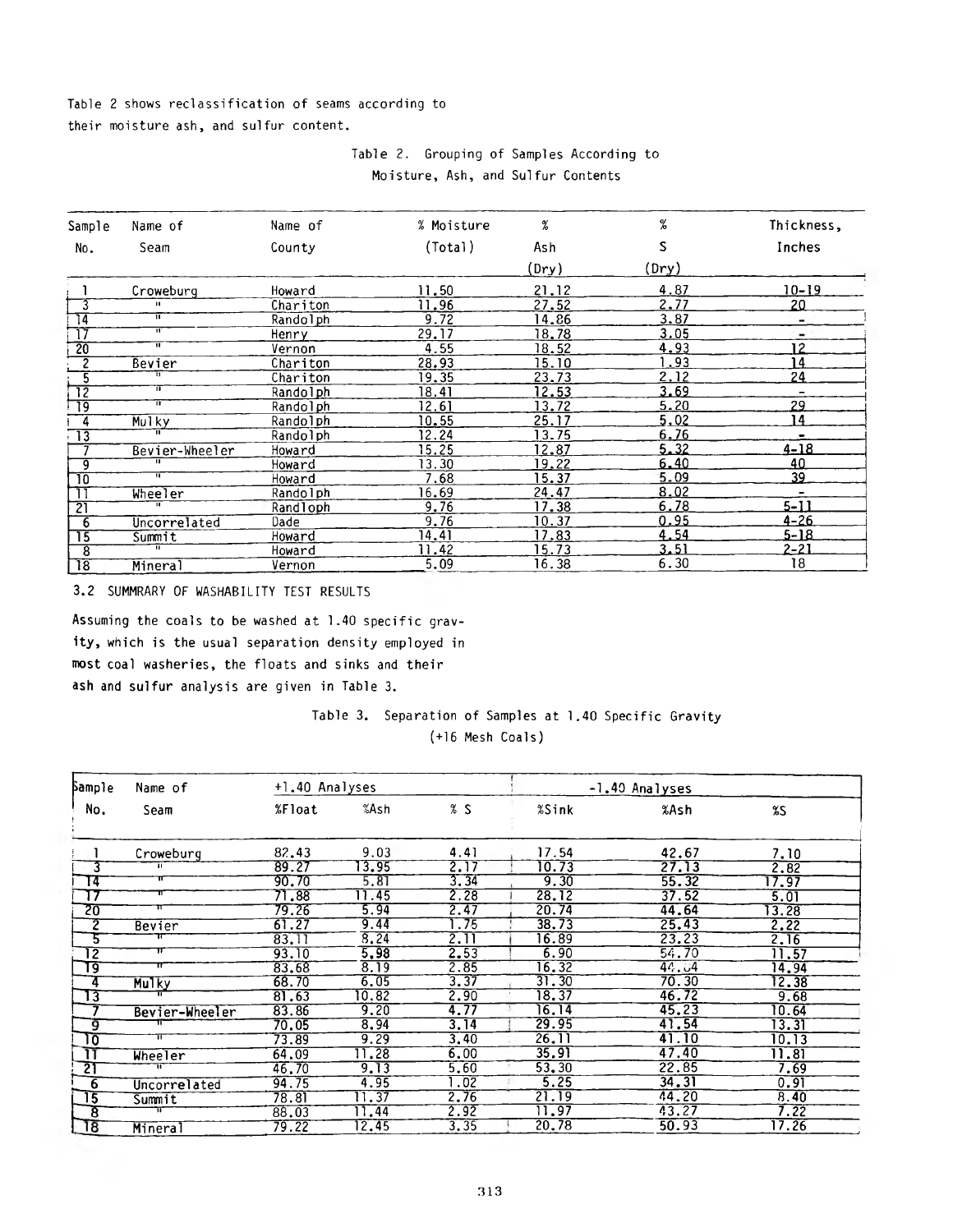# Table 2 shows reclassification of seams according to their moisture ash, and sulfur content.

# Table 2. Grouping of Samples According to Moisture, Ash, and Sulfur Contents

| Sample                   | Name of                   | Name of  | % Moisture   | %     | %     | Thickness,               |
|--------------------------|---------------------------|----------|--------------|-------|-------|--------------------------|
| No.                      | Seam                      | County   | (Total)      | Ash   | S     | Inches                   |
|                          |                           |          |              | (Dry) | (Dry) |                          |
|                          | Croweburg                 | Howard   | 11.50        | 21.12 | 4.87  | 10-19                    |
| 3                        | $\mathbf{u}$              | Chariton | 11.96        | 27.52 | 2.77  | 20                       |
| 14                       | π                         | Randolph | 9.72         | 14.86 | 3.87  | -                        |
| $\overline{\mathbb{17}}$ | π                         | Henry    | 29.17        | 18.78 | 3.05  | ۰                        |
| $\overline{20}$          | $\overline{\mathfrak{m}}$ | Vernon   | 4.55         | 18.52 | 4.93  | 12                       |
| $\overline{2}$           | Bevier                    | Chariton | 28.93        | 15.10 | .93   | 14                       |
| 5                        |                           | Chariton | <u>19.35</u> | 23.73 | 2.12  | 24                       |
| 72                       | π                         | Randolph | 18.41        | 12.53 | 3.69  | $\overline{\phantom{m}}$ |
| $\overline{19}$          | π                         | Randolph | 12.61        | 13.72 | 5.20  | 29                       |
| $\frac{1}{4}$            | Mulky                     | Randolph | 10.55        | 25.17 | 5,02  | 14                       |
| $\overline{13}$          | ╥                         | Randolph | 12.24        | 13.75 | 6.76  |                          |
|                          | Bevier-Wheeler            | Howard   | 15.25        | 12.87 | 5.32  | $4 - 18$                 |
| 9                        | π                         | Howard   | 13.30        | 19.22 | 6.40  | 40                       |
| 70                       | ╥                         | Howard   | 7.68         | 15.37 | 5.09  | 39                       |
| ור                       | Wheeler                   | Randolph | 16.69        | 24.47 | 8.02  | $\overline{\phantom{a}}$ |
| $\overline{21}$          | π                         | Randloph | 9.76         | 17.38 | 6.78  | $5 - 11$                 |
| 6                        | Uncorrelated              | Dade     | 9,76         | 10.37 | 0.95  | $4 - 26$                 |
| 75                       | Summit                    | Howard   | 14.41        | 17.83 | 4.54  | 5-18                     |
| $\overline{8}$           | π                         | Howard   | 11.42        | 15.73 | 3.51  | 2-21                     |
| $\overline{18}$          | Mineral                   | Vernon   | 5.09         | 16.38 | 6.30  | 18                       |

3.2 SUMMRARY OF WASHABILITY TEST RESULTS

Assuming the coals to be washed at 1.40 specific gravity, which is the usual separation density employed in most coal washeries, the floats and sinks and their ash and sulfur analysis are given in Table 3.

# Table 3. Separation of Samples at 1.40 Specific Gravity (+16 Mesh Coals)

| <b>Sample</b>            | Name of        | +1.40 Analyses |       |       | -1.40 Analyses |       |       |
|--------------------------|----------------|----------------|-------|-------|----------------|-------|-------|
| No.                      | Seam           | %Float         | %Ash  | %S    | %Sink          | %Ash  | %S    |
|                          | Croweburg      | 82.43          | 9.03  | 4.41  | 17.54          | 42.67 | 7.10  |
| 3                        | TE.            | 89.27          | 3.95  | 2.17  | 10.73          | 27.13 | 2.82  |
| ाद                       | π              | 90.70          | 5.81  | 3.34  | 9.30           | 55.32 | 17.97 |
| -17                      | π              | 71.88          | 11.45 | 2.28  | 28.12          | 37.52 | 5.01  |
| 20                       | π              | 79.26          | 5.94  | 2.47  | 20.74          | 44.64 | 13.28 |
| 7                        | Bevier         | 61.27          | 9.44  | 1.75  | 38.73          | 25.43 | 2.22  |
| 5                        |                | 83.11          | 8, 24 | 2. II | 16.89          | 23.23 | 2,16  |
| 12                       | π              | 93.10          | 5,98  | 2.53  | 6.90           | 54.70 | 11.57 |
| و٦                       | π              | 83.68          | 8.19  | 2.85  | 16.32          | 44.04 | 14.94 |
| ॱ4                       | <b>Mulky</b>   | 68.70          | 6.05  | 3.37  | 31.30          | 70.30 | 12.38 |
| $\mathbb{u}_3$           |                | 81.63          | 10.82 | 2.90  | 18.37          | 46.72 | 9.68  |
|                          | Bevier-Wheeler | 83.86          | 9.20  | 4.77  | 16.14          | 45.23 | 10.64 |
| -9                       |                | 70.05          | 8.94  | 3.14  | 29.95          | 41.54 | 13.31 |
| ᠊᠋᠋ᡕᠣ                    | π              | 73.89          | 9.29  | 3,40  | 26.11          | 41.10 | 10.13 |
|                          | Wheeler        | 64.09          | 1.28  | 6.00  | 35.91          | 47.40 | 11.81 |
| $\overline{2}$           |                | 46.70          | 9.13  | 5.60  | 53.30          | 22.85 | 7.69  |
| $\overline{6}$           | Uncorrelated   | 94.75          | 4.95  | .02   | 5.25           | 34.31 | 0.91  |
| $\overline{\mathbf{15}}$ | Summit         | 78.81          | 11.37 | 2.76  | 21.19          | 44.20 | 8.40  |
| ह                        |                | 88.03          | 11.44 | 2.92  | 11.97          | 43.27 | 7.22  |
| $^{18}$                  | Mineral        | 79.22          | 12.45 | 3.35  | 20.78          | 50.93 | 17.26 |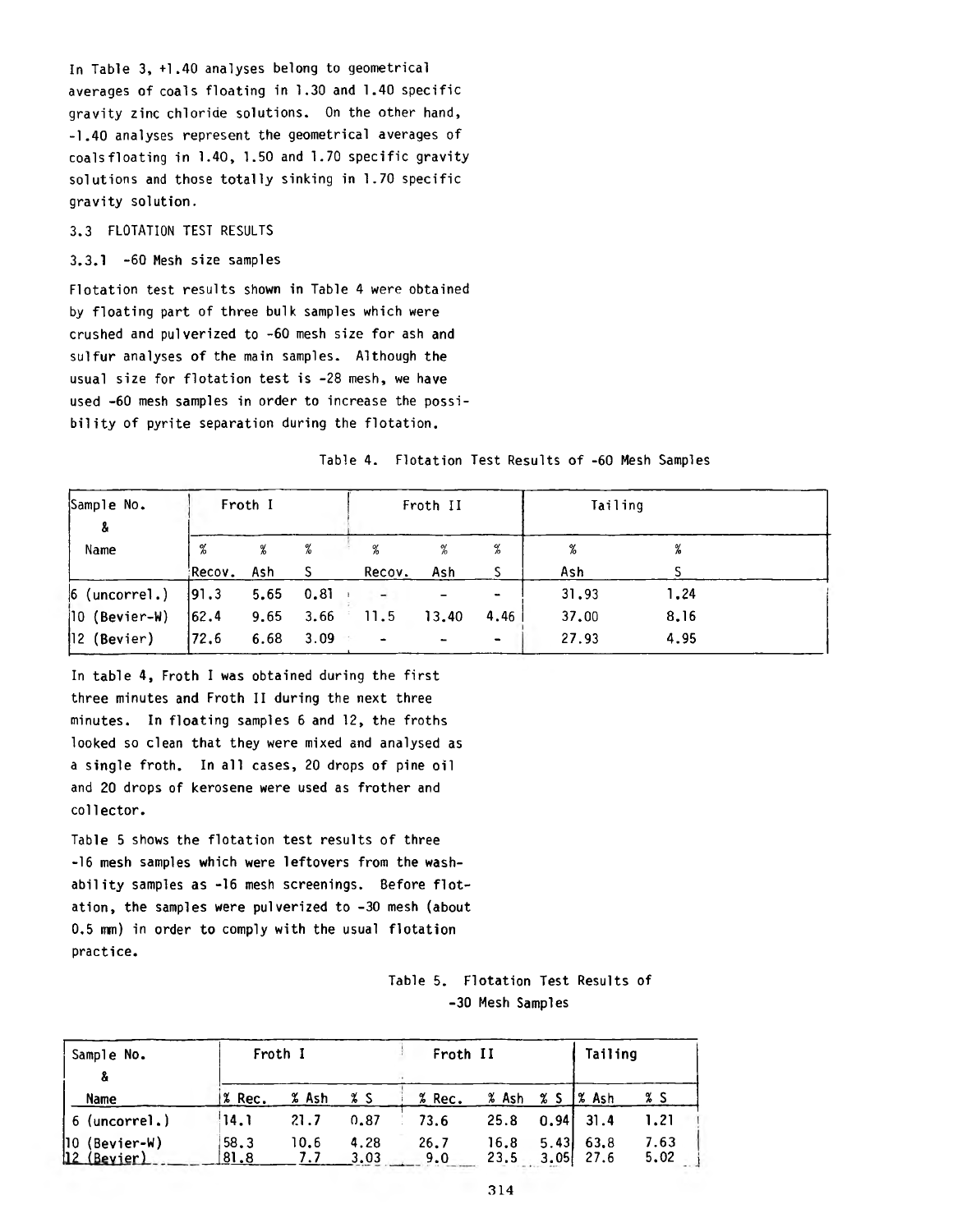In Table 3, +1.40 analyses belong to geometrical averages of coals floating in 1.30 and 1.40 specific gravity zinc chloride solutions. On the other hand, -1.40 analyses represent the geometrical averages of coals floating in 1.40, 1.50 and 1.70 specific gravity solutions and those totally sinking in 1.70 specific gravity solution.

#### 3.3 FLOTATION TEST RESULTS

3.3.1 -60 Mesh size samples

Flotation test results shown in Table 4 were obtained by floating part of three bulk samples which were crushed and pulverized to  $-60$  mesh size for ash and sulfur analyses of the main samples. Although the usual size for flotation test is -28 mesh, we have used -60 mesh samples in order to increase the possibility of pyrite separation during the flotation.

### Table 4. Flotation Test Results of -60 Mesh Samples

| Sample No.<br>-8 | Froth I |     |               | Froth II                 |       |                | Tailing |      |  |
|------------------|---------|-----|---------------|--------------------------|-------|----------------|---------|------|--|
| Name             | %       | %   | %             | %                        | %     | %              | %       | %    |  |
|                  | Recov.  | Ash |               | Recov.                   | Ash   |                | Ash     |      |  |
| $6$ (uncorrel.)  | 91.3    |     | $5.65$ $0.81$ |                          |       | $\blacksquare$ | 31.93   | 1.24 |  |
| $ 10$ (Bevier-W) | 162.4   |     | $9.65$ $3.66$ | 11.5                     | 13.40 | 4.46           | 37.00   | 8.16 |  |
| $ 12$ (Bevier)   | 72,6    |     | 6.68 3.09     | $\overline{\phantom{0}}$ |       | ۰.             | 27.93   | 4.95 |  |

In table 4, Froth I was obtained during the first three minutes and Froth II during the next three minutes. In floating samples 6 and 12, the froths looked so clean that they were mixed and analysed as a single froth. In all cases, 20 drops of pine oil and 20 drops of kerosene were used as frother and collector.

Table 5 shows the flotation test results of three -16 mesh samples which were leftovers from the washability samples as -16 mesh screenings. Before flotation, the samples were pulverized to -30 mesh (about  $0.5$  mm) in order to comply with the usual flotation practice.

# Table 5. Flotation Test Results of -30 Mesh Samples

| Sample No.<br>å                 |              | Froth I     | Froth II     |             |                       |              | Tailing      |              |
|---------------------------------|--------------|-------------|--------------|-------------|-----------------------|--------------|--------------|--------------|
| Name                            | % Rec.       | % Ash       | χs           | % Rec.      | $%$ Ash $%$ S $%$ Ash |              |              | % S          |
| 6 (uncorrel.)                   | 14.1         | 21.7        | 0.87         | 73.6        | 25.8                  |              | $0.94$ $1.3$ | 1.21         |
| $ 10$ (Bevier-W)<br>12 (Bevier) | 58.3<br>81.8 | 10.6<br>7.7 | 4.28<br>3.03 | 26.7<br>9.0 | 16.8<br>23.5          | 5.43<br>3.05 | 63.8<br>27.6 | 7.63<br>5,02 |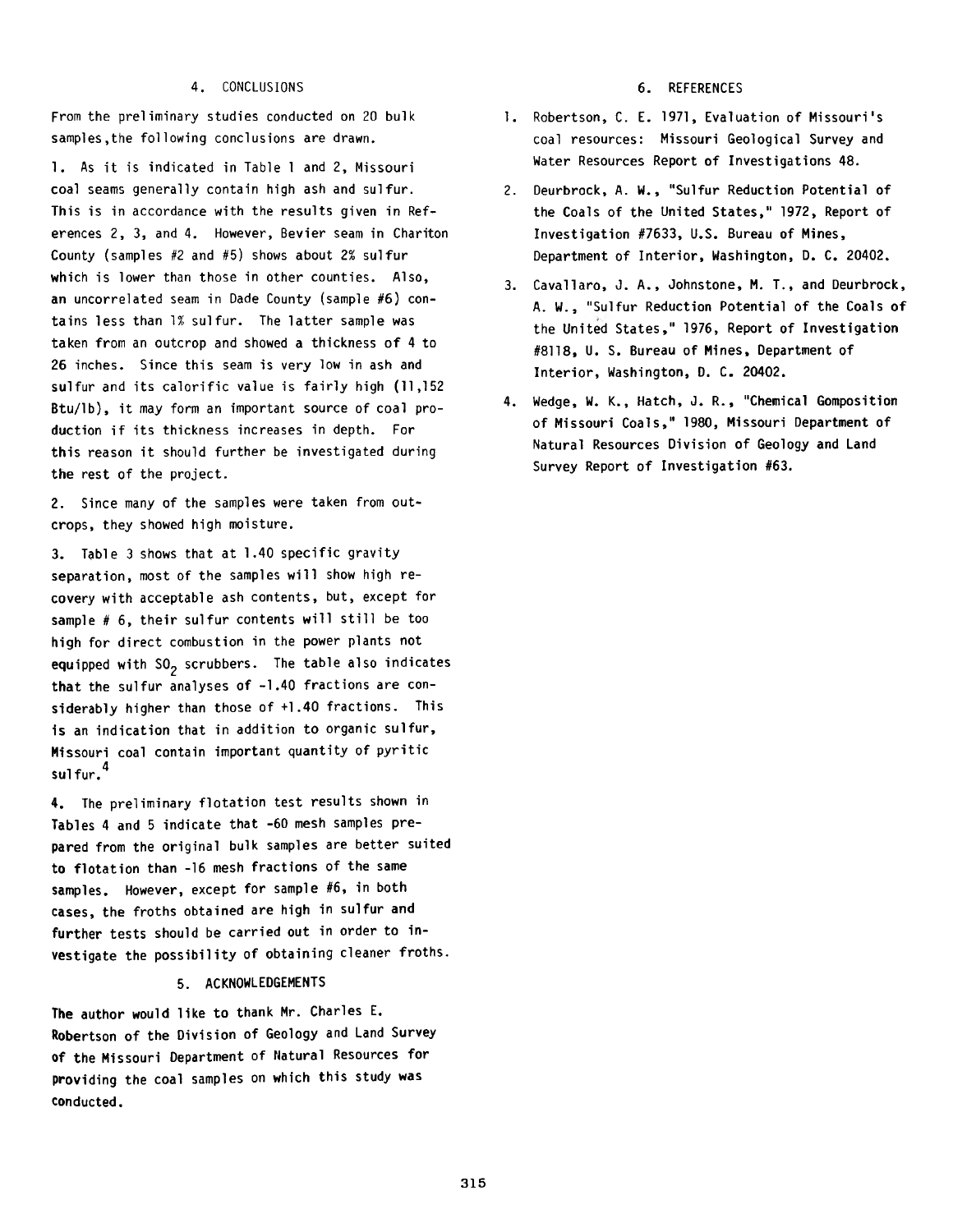#### 4. CONCLUSIONS 6. REFERENCES

From the preliminary studies conducted on 20 bulk samples,the following conclusions are drawn.

1. As it is indicated in Table 1 and 2, Missouri coal seams generally contain high ash and sulfur. This is in accordance with the results given in References 2, 3, and 4. However, Bevier seam in Chariton County (samples  $#2$  and  $#5$ ) shows about 2% sulfur which is lower than those in other counties. Also, an uncorrelated seam in Dade County (sample #6) contains less than 1% sulfur. The latter sample was taken from an outcrop and showed a thickness of 4 to 26 inches. Since this seam is very low in ash and sulfur and its calorific value is fairly high (11,152 Btu/lb), it may form an important source of coal production if its thickness increases in depth. For this reason it should further be investigated during the rest of the project.

2. Since many of the samples were taken from outcrops, they showed high moisture.

3. Table 3 shows that at 1.40 specific gravity separation, most of the samples will show high recovery with acceptable ash contents, but, except for sample  $# 6$ , their sulfur contents will still be too high for direct combustion in the power plants not equipped with  $SO_2$  scrubbers. The table also indicates that the sulfur analyses of  $-1.40$  fractions are considerably higher than those of  $+1.40$  fractions. This is an indication that in addition to organic sulfur, Missouri coal contain important quantity of pyritic sulfur. $^{\text{4}}$ 

4. The preliminary flotation test results shown in Tables 4 and 5 indicate that -60 mesh samples prepared from the original bulk samples are better suited to flotation than -16 mesh fractions of the same samples. However, except for sample #6, in both cases, the froths obtained are high in sulfur and further tests should be carried out in order to investigate the possibility of obtaining cleaner froths.

#### 5. ACKNOWLEDGEMENTS

The author would like to thank Mr. Charles E. Robertson of the Division of Geology and Land Survey of the Missouri Department of Natural Resources for providing the coal samples on which this study was conducted.

- 1. Robertson, C. E. 1971, Evaluation of Missouri's coal resources: Missouri Geological Survey and Water Resources Report of Investigations 48.
- 2. Deurbrock, A. W., "Sulfur Reduction Potential of the Coals of the United States," 1972, Report of Investigation #7633, U.S. Bureau of Mines, Department of Interior, Washington, D. C. 20402.
- 3. Cavallaro, J. A., Johnstone, M. T., and Deurbrock, A. W., "Sulfur Reduction Potential of the Coals of the United States," 1976, Report of Investigation #8118, U. S. Bureau of Mines, Department of Interior, Washington, D. C. 20402.
- 4. Wedge, W. K., Hatch, J. R., "Chemical Gomposition of Missouri Coals," 1980, Missouri Department of Natural Resources Division of Geology and Land Survey Report of Investigation #63.